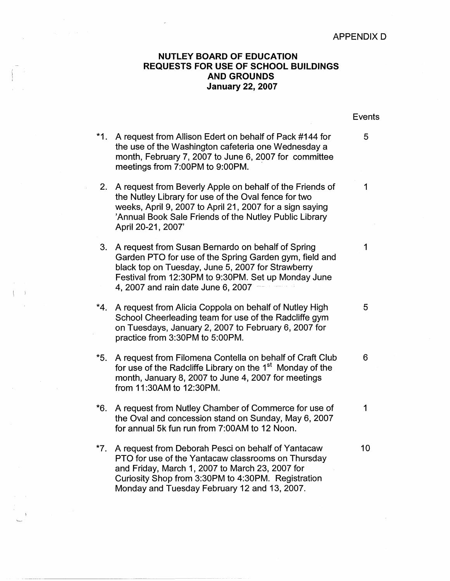## APPENDIX D

## **NUTLEY BOARD OF EDUCATION REQUESTS FOR USE OF SCHOOL BUILDINGS AND GROUNDS January 22, 2007**

|     |                                                                                                                                                                                                                                                                   | <b>Events</b> |
|-----|-------------------------------------------------------------------------------------------------------------------------------------------------------------------------------------------------------------------------------------------------------------------|---------------|
| *1. | A request from Allison Edert on behalf of Pack #144 for<br>the use of the Washington cafeteria one Wednesday a<br>month, February 7, 2007 to June 6, 2007 for committee<br>meetings from 7:00PM to 9:00PM.                                                        | 5             |
| 2.  | A request from Beverly Apple on behalf of the Friends of<br>the Nutley Library for use of the Oval fence for two<br>weeks, April 9, 2007 to April 21, 2007 for a sign saying<br>'Annual Book Sale Friends of the Nutley Public Library<br>April 20-21, 2007'      | 1             |
| 3.  | A request from Susan Bernardo on behalf of Spring<br>Garden PTO for use of the Spring Garden gym, field and<br>black top on Tuesday, June 5, 2007 for Strawberry<br>Festival from 12:30PM to 9:30PM. Set up Monday June<br>4, 2007 and rain date June 6, 2007     | 1             |
| *4. | A request from Alicia Coppola on behalf of Nutley High<br>School Cheerleading team for use of the Radcliffe gym<br>on Tuesdays, January 2, 2007 to February 6, 2007 for<br>practice from 3:30PM to 5:00PM.                                                        | 5             |
| *5. | A request from Filomena Contella on behalf of Craft Club<br>for use of the Radcliffe Library on the 1 <sup>st</sup> Monday of the<br>month, January 8, 2007 to June 4, 2007 for meetings<br>from 11:30AM to 12:30PM.                                              | 6             |
| *6. | A request from Nutley Chamber of Commerce for use of<br>the Oval and concession stand on Sunday, May 6, 2007<br>for annual 5k fun run from 7:00AM to 12 Noon.                                                                                                     | 1             |
| *7. | A request from Deborah Pesci on behalf of Yantacaw<br>PTO for use of the Yantacaw classrooms on Thursday<br>and Friday, March 1, 2007 to March 23, 2007 for<br>Curiosity Shop from 3:30PM to 4:30PM. Registration<br>Monday and Tuesday February 12 and 13, 2007. | 10            |

 $\rightarrow$